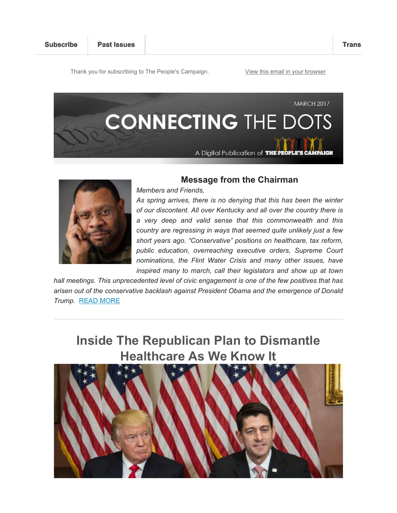Thank you for subscribing to The People's Campaign. View this email in your browser





### **Message from the Chairman**

*Members and Friends,*

*As spring arrives, there is no denying that this has been the winter of our discontent. All over Kentucky and all over the country there is a very deep and valid sense that this commonwealth and this country are regressing in ways that seemed quite unlikely just a few short years ago. "Conservative" positions on healthcare, tax reform, public education, overreaching executive orders, Supreme Court nominations, the Flint Water Crisis and many other issues, have*  inspired many to march, call their legislators and show up at town

*hall meetings. This unprecedented level of civic engagement is one of the few positives that has arisen out of the conservative backlash against President Obama and the emergence of Donald Trump.* READ MORE

**Inside The Republican Plan to Dismantle Healthcare As We Know It**

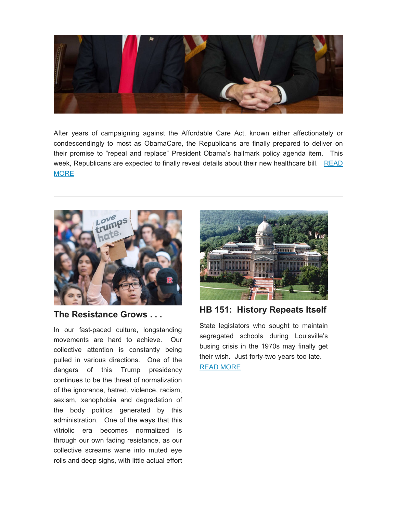

After years of campaigning against the Affordable Care Act, known either affectionately or condescendingly to most as ObamaCare, the Republicans are finally prepared to deliver on their promise to "repeal and replace" President Obama's hallmark policy agenda item. This week, Republicans are expected to finally reveal details about their new healthcare bill. READ MORE



**The Resistance Grows . . .**

In our fast-paced culture, longstanding movements are hard to achieve. Our collective attention is constantly being pulled in various directions. One of the dangers of this Trump presidency continues to be the threat of normalization of the ignorance, hatred, violence, racism, sexism, xenophobia and degradation of the body politics generated by this administration. One of the ways that this vitriolic era becomes normalized is through our own fading resistance, as our collective screams wane into muted eye rolls and deep sighs, with little actual effort



**HB 151: History Repeats Itself**

State legislators who sought to maintain segregated schools during Louisville's busing crisis in the 1970s may finally get their wish. Just forty-two years too late. READ MORE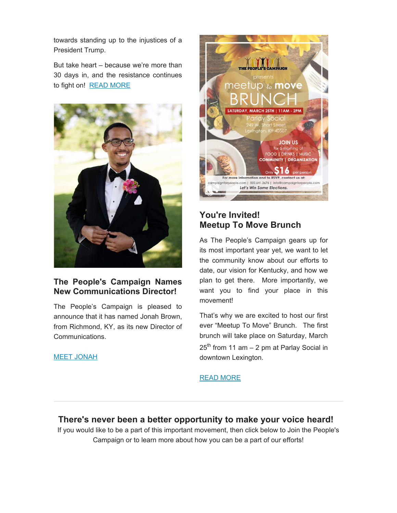towards standing up to the injustices of a President Trump.

But take heart – because we're more than 30 days in, and the resistance continues to fight on! READ MORE



## **The People's Campaign Names New Communications Director!**

The People's Campaign is pleased to announce that it has named Jonah Brown, from Richmond, KY, as its new Director of Communications.

#### MEET JONAH



# **You're Invited! Meetup To Move Brunch**

As The People's Campaign gears up for its most important year yet, we want to let the community know about our efforts to date, our vision for Kentucky, and how we plan to get there. More importantly, we want you to find your place in this movement!

That's why we are excited to host our first ever "Meetup To Move" Brunch. The first brunch will take place on Saturday, March  $25<sup>th</sup>$  from 11 am – 2 pm at Parlay Social in downtown Lexington.

### READ MORE

**There's never been a better opportunity to make your voice heard!**  If you would like to be a part of this important movement, then click below to Join the People's Campaign or to learn more about how you can be a part of our efforts!